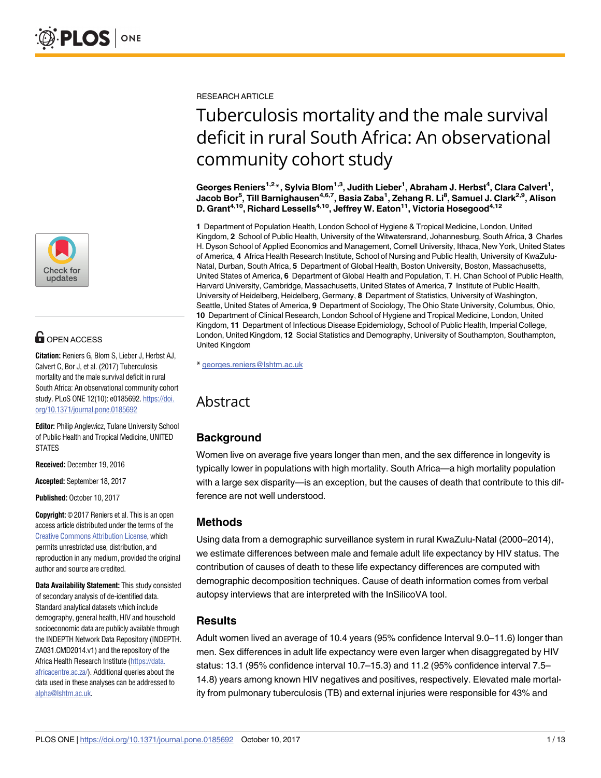

# **OPEN ACCESS**

**Citation:** Reniers G, Blom S, Lieber J, Herbst AJ, Calvert C, Bor J, et al. (2017) Tuberculosis mortality and the male survival deficit in rural South Africa: An observational community cohort study. PLoS ONE 12(10): e0185692. [https://doi.](https://doi.org/10.1371/journal.pone.0185692) [org/10.1371/journal.pone.0185692](https://doi.org/10.1371/journal.pone.0185692)

**Editor:** Philip Anglewicz, Tulane University School of Public Health and Tropical Medicine, UNITED STATES

**Received:** December 19, 2016

**Accepted:** September 18, 2017

**Published:** October 10, 2017

**Copyright:** © 2017 Reniers et al. This is an open access article distributed under the terms of the Creative Commons [Attribution](http://creativecommons.org/licenses/by/4.0/) License, which permits unrestricted use, distribution, and reproduction in any medium, provided the original author and source are credited.

**Data Availability Statement:** This study consisted of secondary analysis of de-identified data. Standard analytical datasets which include demography, general health, HIV and household socioeconomic data are publicly available through the INDEPTH Network Data Repository (INDEPTH. ZA031.CMD2014.v1) and the repository of the Africa Health Research Institute [\(https://data.](https://data.africacentre.ac.za/) [africacentre.ac.za/](https://data.africacentre.ac.za/)). Additional queries about the data used in these analyses can be addressed to [alpha@lshtm.ac.uk](mailto:alpha@lshtm.ac.uk).

RESEARCH ARTICLE

# Tuberculosis mortality and the male survival deficit in rural South Africa: An observational community cohort study

 $\bf{G}$ eorges  $\bf{R}$ eniers<sup>1,2</sup>  $\bf{*}$  , Sylvia Blom<sup>1,3</sup> , Judith Lieber<sup>1</sup>, Abraham J. Herbst<sup>4</sup>, Clara Calvert<sup>1</sup>, **Jacob Bor5 , Till Barnighausen4,6,7, Basia Zaba1 , Zehang R. Li8 , Samuel J. Clark2,9, Alison D. Grant4,10, Richard Lessells4,10, Jeffrey W. Eaton11, Victoria Hosegood4,12**

**1** Department of Population Health, London School of Hygiene & Tropical Medicine, London, United Kingdom, **2** School of Public Health, University of the Witwatersrand, Johannesburg, South Africa, **3** Charles H. Dyson School of Applied Economics and Management, Cornell University, Ithaca, New York, United States of America, **4** Africa Health Research Institute, School of Nursing and Public Health, University of KwaZulu-Natal, Durban, South Africa, **5** Department of Global Health, Boston University, Boston, Massachusetts, United States of America, **6** Department of Global Health and Population, T. H. Chan School of Public Health, Harvard University, Cambridge, Massachusetts, United States of America, **7** Institute of Public Health, University of Heidelberg, Heidelberg, Germany, **8** Department of Statistics, University of Washington, Seattle, United States of America, **9** Department of Sociology, The Ohio State University, Columbus, Ohio, **10** Department of Clinical Research, London School of Hygiene and Tropical Medicine, London, United Kingdom, **11** Department of Infectious Disease Epidemiology, School of Public Health, Imperial College, London, United Kingdom, **12** Social Statistics and Demography, University of Southampton, Southampton, United Kingdom

\* georges.reniers@lshtm.ac.uk

# **Abstract**

## **Background**

Women live on average five years longer than men, and the sex difference in longevity is typically lower in populations with high mortality. South Africa—a high mortality population with a large sex disparity—is an exception, but the causes of death that contribute to this difference are not well understood.

### **Methods**

Using data from a demographic surveillance system in rural KwaZulu-Natal (2000–2014), we estimate differences between male and female adult life expectancy by HIV status. The contribution of causes of death to these life expectancy differences are computed with demographic decomposition techniques. Cause of death information comes from verbal autopsy interviews that are interpreted with the InSilicoVA tool.

### **Results**

Adult women lived an average of 10.4 years (95% confidence Interval 9.0–11.6) longer than men. Sex differences in adult life expectancy were even larger when disaggregated by HIV status: 13.1 (95% confidence interval 10.7–15.3) and 11.2 (95% confidence interval 7.5– 14.8) years among known HIV negatives and positives, respectively. Elevated male mortality from pulmonary tuberculosis (TB) and external injuries were responsible for 43% and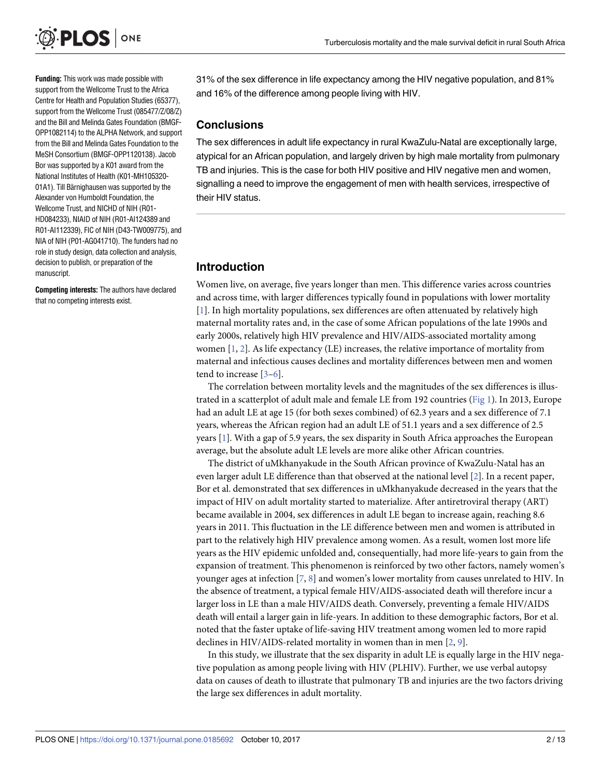<span id="page-1-0"></span>

**Funding:** This work was made possible with support from the Wellcome Trust to the Africa Centre for Health and Population Studies (65377), support from the Wellcome Trust (085477/Z/08/Z) and the Bill and Melinda Gates Foundation (BMGF-OPP1082114) to the ALPHA Network, and support from the Bill and Melinda Gates Foundation to the MeSH Consortium (BMGF-OPP1120138). Jacob Bor was supported by a K01 award from the National Institutes of Health (K01-MH105320- 01A1). Till Bärnighausen was supported by the Alexander von Humboldt Foundation, the Wellcome Trust, and NICHD of NIH (R01- HD084233), NIAID of NIH (R01-AI124389 and R01-AI112339), FIC of NIH (D43-TW009775), and NIA of NIH (P01-AG041710). The funders had no role in study design, data collection and analysis, decision to publish, or preparation of the manuscript.

**Competing interests:** The authors have declared that no competing interests exist.

31% of the sex difference in life expectancy among the HIV negative population, and 81% and 16% of the difference among people living with HIV.

#### **Conclusions**

The sex differences in adult life expectancy in rural KwaZulu-Natal are exceptionally large, atypical for an African population, and largely driven by high male mortality from pulmonary TB and injuries. This is the case for both HIV positive and HIV negative men and women, signalling a need to improve the engagement of men with health services, irrespective of their HIV status.

### **Introduction**

Women live, on average, five years longer than men. This difference varies across countries and across time, with larger differences typically found in populations with lower mortality [\[1](#page-10-0)]. In high mortality populations, sex differences are often attenuated by relatively high maternal mortality rates and, in the case of some African populations of the late 1990s and early 2000s, relatively high HIV prevalence and HIV/AIDS-associated mortality among women  $[1, 2]$  $[1, 2]$  $[1, 2]$  $[1, 2]$ . As life expectancy (LE) increases, the relative importance of mortality from maternal and infectious causes declines and mortality differences between men and women tend to increase [[3–6](#page-10-0)].

The correlation between mortality levels and the magnitudes of the sex differences is illustrated in a scatterplot of adult male and female LE from 192 countries [\(Fig](#page-2-0) 1). In 2013, Europe had an adult LE at age 15 (for both sexes combined) of 62.3 years and a sex difference of 7.1 years, whereas the African region had an adult LE of 51.1 years and a sex difference of 2.5 years [\[1\]](#page-10-0). With a gap of 5.9 years, the sex disparity in South Africa approaches the European average, but the absolute adult LE levels are more alike other African countries.

The district of uMkhanyakude in the South African province of KwaZulu-Natal has an even larger adult LE difference than that observed at the national level [[2](#page-10-0)]. In a recent paper, Bor et al. demonstrated that sex differences in uMkhanyakude decreased in the years that the impact of HIV on adult mortality started to materialize. After antiretroviral therapy (ART) became available in 2004, sex differences in adult LE began to increase again, reaching 8.6 years in 2011. This fluctuation in the LE difference between men and women is attributed in part to the relatively high HIV prevalence among women. As a result, women lost more life years as the HIV epidemic unfolded and, consequentially, had more life-years to gain from the expansion of treatment. This phenomenon is reinforced by two other factors, namely women's younger ages at infection [\[7,](#page-10-0) [8\]](#page-10-0) and women's lower mortality from causes unrelated to HIV. In the absence of treatment, a typical female HIV/AIDS-associated death will therefore incur a larger loss in LE than a male HIV/AIDS death. Conversely, preventing a female HIV/AIDS death will entail a larger gain in life-years. In addition to these demographic factors, Bor et al. noted that the faster uptake of life-saving HIV treatment among women led to more rapid declines in HIV/AIDS-related mortality in women than in men [\[2,](#page-10-0) [9](#page-10-0)].

In this study, we illustrate that the sex disparity in adult LE is equally large in the HIV negative population as among people living with HIV (PLHIV). Further, we use verbal autopsy data on causes of death to illustrate that pulmonary TB and injuries are the two factors driving the large sex differences in adult mortality.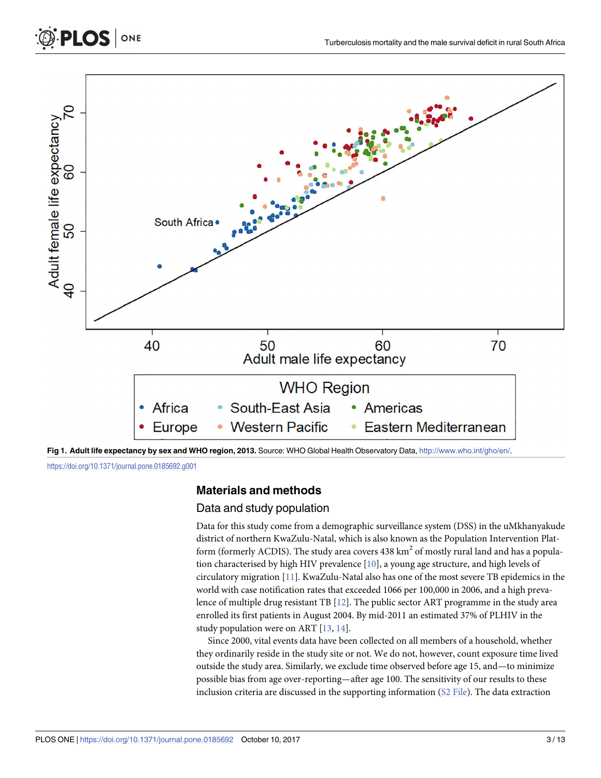<span id="page-2-0"></span>

**[Fig](#page-1-0) 1. Adult life expectancy by sex and WHO region, 2013.** Source: WHO Global Health Observatory Data, [http://www.who.int/gho/en/.](http://www.who.int/gho/en/)

<https://doi.org/10.1371/journal.pone.0185692.g001>

### **Materials and methods**

#### Data and study population

Data for this study come from a demographic surveillance system (DSS) in the uMkhanyakude district of northern KwaZulu-Natal, which is also known as the Population Intervention Platform (formerly ACDIS). The study area covers  $438 \text{ km}^2$  of mostly rural land and has a population characterised by high HIV prevalence [[10](#page-10-0)], a young age structure, and high levels of circulatory migration [[11](#page-10-0)]. KwaZulu-Natal also has one of the most severe TB epidemics in the world with case notification rates that exceeded 1066 per 100,000 in 2006, and a high prevalence of multiple drug resistant TB [\[12\]](#page-10-0). The public sector ART programme in the study area enrolled its first patients in August 2004. By mid-2011 an estimated 37% of PLHIV in the study population were on ART [[13](#page-10-0), [14](#page-10-0)].

Since 2000, vital events data have been collected on all members of a household, whether they ordinarily reside in the study site or not. We do not, however, count exposure time lived outside the study area. Similarly, we exclude time observed before age 15, and—to minimize possible bias from age over-reporting—after age 100. The sensitivity of our results to these inclusion criteria are discussed in the supporting information (S2 [File\)](#page-9-0). The data extraction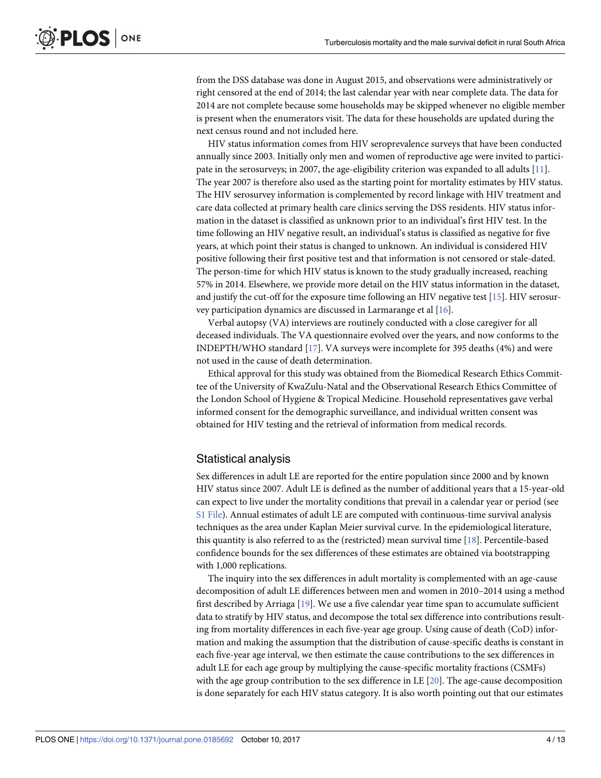<span id="page-3-0"></span>from the DSS database was done in August 2015, and observations were administratively or right censored at the end of 2014; the last calendar year with near complete data. The data for 2014 are not complete because some households may be skipped whenever no eligible member is present when the enumerators visit. The data for these households are updated during the next census round and not included here.

HIV status information comes from HIV seroprevalence surveys that have been conducted annually since 2003. Initially only men and women of reproductive age were invited to participate in the serosurveys; in 2007, the age-eligibility criterion was expanded to all adults [\[11\]](#page-10-0). The year 2007 is therefore also used as the starting point for mortality estimates by HIV status. The HIV serosurvey information is complemented by record linkage with HIV treatment and care data collected at primary health care clinics serving the DSS residents. HIV status information in the dataset is classified as unknown prior to an individual's first HIV test. In the time following an HIV negative result, an individual's status is classified as negative for five years, at which point their status is changed to unknown. An individual is considered HIV positive following their first positive test and that information is not censored or stale-dated. The person-time for which HIV status is known to the study gradually increased, reaching 57% in 2014. Elsewhere, we provide more detail on the HIV status information in the dataset, and justify the cut-off for the exposure time following an HIV negative test [[15](#page-10-0)]. HIV serosurvey participation dynamics are discussed in Larmarange et al [\[16\]](#page-10-0).

Verbal autopsy (VA) interviews are routinely conducted with a close caregiver for all deceased individuals. The VA questionnaire evolved over the years, and now conforms to the INDEPTH/WHO standard [\[17\]](#page-10-0). VA surveys were incomplete for 395 deaths (4%) and were not used in the cause of death determination.

Ethical approval for this study was obtained from the Biomedical Research Ethics Committee of the University of KwaZulu-Natal and the Observational Research Ethics Committee of the London School of Hygiene & Tropical Medicine. Household representatives gave verbal informed consent for the demographic surveillance, and individual written consent was obtained for HIV testing and the retrieval of information from medical records.

#### Statistical analysis

Sex differences in adult LE are reported for the entire population since 2000 and by known HIV status since 2007. Adult LE is defined as the number of additional years that a 15-year-old can expect to live under the mortality conditions that prevail in a calendar year or period (see S1 [File](#page-9-0)). Annual estimates of adult LE are computed with continuous-time survival analysis techniques as the area under Kaplan Meier survival curve. In the epidemiological literature, this quantity is also referred to as the (restricted) mean survival time [[18](#page-10-0)]. Percentile-based confidence bounds for the sex differences of these estimates are obtained via bootstrapping with 1,000 replications.

The inquiry into the sex differences in adult mortality is complemented with an age-cause decomposition of adult LE differences between men and women in 2010–2014 using a method first described by Arriaga [\[19\]](#page-10-0). We use a five calendar year time span to accumulate sufficient data to stratify by HIV status, and decompose the total sex difference into contributions resulting from mortality differences in each five-year age group. Using cause of death (CoD) information and making the assumption that the distribution of cause-specific deaths is constant in each five-year age interval, we then estimate the cause contributions to the sex differences in adult LE for each age group by multiplying the cause-specific mortality fractions (CSMFs) with the age group contribution to the sex difference in LE [[20](#page-10-0)]. The age-cause decomposition is done separately for each HIV status category. It is also worth pointing out that our estimates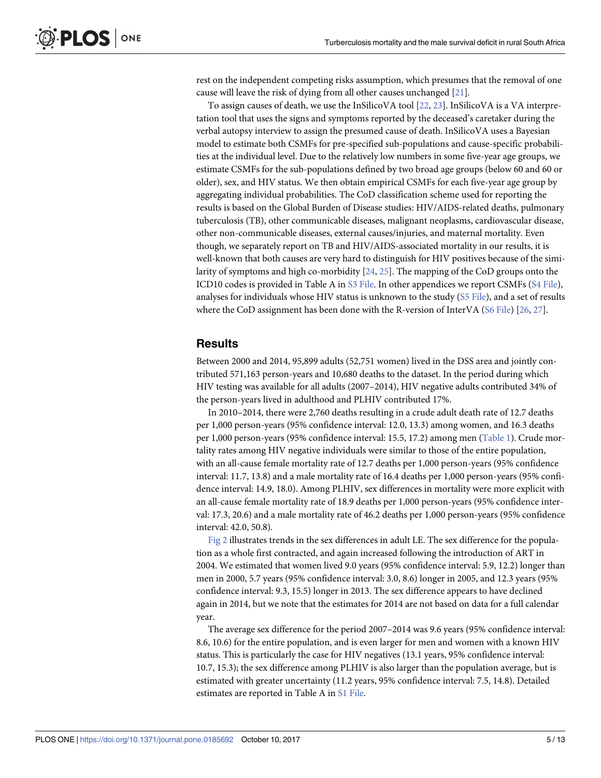<span id="page-4-0"></span>rest on the independent competing risks assumption, which presumes that the removal of one cause will leave the risk of dying from all other causes unchanged [[21](#page-11-0)].

To assign causes of death, we use the InSilicoVA tool [\[22,](#page-11-0) [23\]](#page-11-0). InSilicoVA is a VA interpretation tool that uses the signs and symptoms reported by the deceased's caretaker during the verbal autopsy interview to assign the presumed cause of death. InSilicoVA uses a Bayesian model to estimate both CSMFs for pre-specified sub-populations and cause-specific probabilities at the individual level. Due to the relatively low numbers in some five-year age groups, we estimate CSMFs for the sub-populations defined by two broad age groups (below 60 and 60 or older), sex, and HIV status. We then obtain empirical CSMFs for each five-year age group by aggregating individual probabilities. The CoD classification scheme used for reporting the results is based on the Global Burden of Disease studies: HIV/AIDS-related deaths, pulmonary tuberculosis (TB), other communicable diseases, malignant neoplasms, cardiovascular disease, other non-communicable diseases, external causes/injuries, and maternal mortality. Even though, we separately report on TB and HIV/AIDS-associated mortality in our results, it is well-known that both causes are very hard to distinguish for HIV positives because of the similarity of symptoms and high co-morbidity [[24](#page-11-0), [25](#page-11-0)]. The mapping of the CoD groups onto the ICD10 codes is provided in Table A in S3 [File.](#page-9-0) In other appendices we report CSMFs (S4 [File](#page-9-0)), analyses for individuals whose HIV status is unknown to the study (S5 [File](#page-9-0)), and a set of results where the CoD assignment has been done with the R-version of InterVA (S6 [File](#page-9-0)) [[26,](#page-11-0) [27\]](#page-11-0).

#### **Results**

Between 2000 and 2014, 95,899 adults (52,751 women) lived in the DSS area and jointly contributed 571,163 person-years and 10,680 deaths to the dataset. In the period during which HIV testing was available for all adults (2007–2014), HIV negative adults contributed 34% of the person-years lived in adulthood and PLHIV contributed 17%.

In 2010–2014, there were 2,760 deaths resulting in a crude adult death rate of 12.7 deaths per 1,000 person-years (95% confidence interval: 12.0, 13.3) among women, and 16.3 deaths per 1,000 person-years (95% confidence interval: 15.5, 17.2) among men [\(Table](#page-5-0) 1). Crude mortality rates among HIV negative individuals were similar to those of the entire population, with an all-cause female mortality rate of 12.7 deaths per 1,000 person-years (95% confidence interval: 11.7, 13.8) and a male mortality rate of 16.4 deaths per 1,000 person-years (95% confidence interval: 14.9, 18.0). Among PLHIV, sex differences in mortality were more explicit with an all-cause female mortality rate of 18.9 deaths per 1,000 person-years (95% confidence interval: 17.3, 20.6) and a male mortality rate of 46.2 deaths per 1,000 person-years (95% confidence interval: 42.0, 50.8).

[Fig](#page-5-0) 2 illustrates trends in the sex differences in adult LE. The sex difference for the population as a whole first contracted, and again increased following the introduction of ART in 2004. We estimated that women lived 9.0 years (95% confidence interval: 5.9, 12.2) longer than men in 2000, 5.7 years (95% confidence interval: 3.0, 8.6) longer in 2005, and 12.3 years (95% confidence interval: 9.3, 15.5) longer in 2013. The sex difference appears to have declined again in 2014, but we note that the estimates for 2014 are not based on data for a full calendar year.

The average sex difference for the period 2007–2014 was 9.6 years (95% confidence interval: 8.6, 10.6) for the entire population, and is even larger for men and women with a known HIV status. This is particularly the case for HIV negatives (13.1 years, 95% confidence interval: 10.7, 15.3); the sex difference among PLHIV is also larger than the population average, but is estimated with greater uncertainty (11.2 years, 95% confidence interval: 7.5, 14.8). Detailed estimates are reported in Table A in S1 [File.](#page-9-0)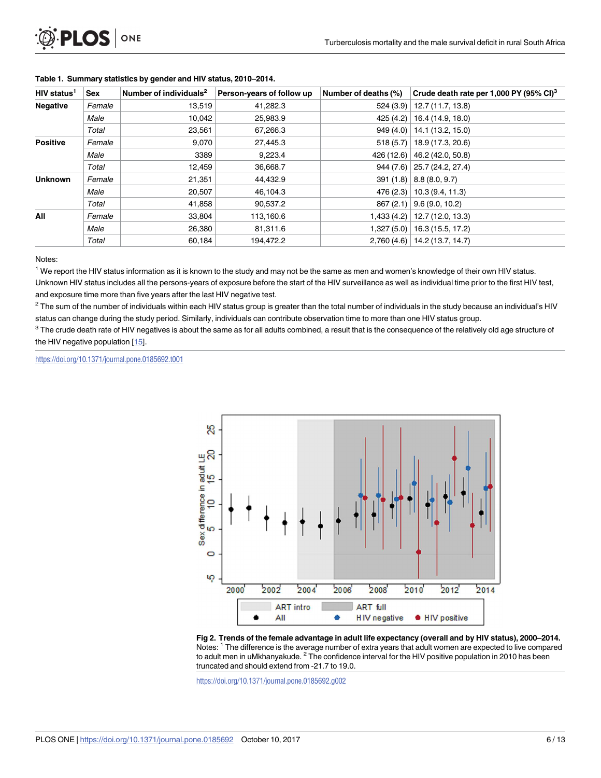| HIV status <sup>1</sup> | Sex    | Number of individuals <sup>2</sup> | Person-years of follow up | Number of deaths (%) | Crude death rate per 1,000 PY (95% CI) <sup>3</sup> |
|-------------------------|--------|------------------------------------|---------------------------|----------------------|-----------------------------------------------------|
| <b>Negative</b>         | Female | 13,519                             | 41,282.3                  |                      | $524(3.9)$ 12.7 (11.7, 13.8)                        |
|                         | Male   | 10,042                             | 25,983.9                  |                      | $425(4.2)$ 16.4 (14.9, 18.0)                        |
|                         | Total  | 23,561                             | 67,266.3                  |                      | $949(4.0)$   14.1 (13.2, 15.0)                      |
| <b>Positive</b>         | Female | 9,070                              | 27,445.3                  |                      | $518(5.7)$   18.9 (17.3, 20.6)                      |
|                         | Male   | 3389                               | 9,223.4                   |                      | 426 (12.6) $\vert$ 46.2 (42.0, 50.8)                |
|                         | Total  | 12,459                             | 36,668.7                  |                      | $944(7.6)$ 25.7 (24.2, 27.4)                        |
| <b>Unknown</b>          | Female | 21,351                             | 44,432.9                  |                      | $391(1.8)$ 8.8 (8.0, 9.7)                           |
|                         | Male   | 20,507                             | 46,104.3                  |                      | $476(2.3)$   10.3 (9.4, 11.3)                       |
|                         | Total  | 41,858                             | 90,537.2                  |                      | $867(2.1)$ 9.6 (9.0, 10.2)                          |
| All                     | Female | 33,804                             | 113,160.6                 |                      | $1,433(4.2)$   12.7 (12.0, 13.3)                    |
|                         | Male   | 26,380                             | 81,311.6                  |                      | $1,327(5.0)$   16.3 (15.5, 17.2)                    |
|                         | Total  | 60.184                             | 194,472.2                 |                      | $2,760(4.6)$ 14.2 (13.7, 14.7)                      |

#### <span id="page-5-0"></span>**[Table](#page-4-0) 1. Summary statistics by gender and HIV status, 2010–2014.**

Notes:

 $1$  We report the HIV status information as it is known to the study and may not be the same as men and women's knowledge of their own HIV status.

Unknown HIV status includes all the persons-years of exposure before the start of the HIV surveillance as well as individual time prior to the first HIV test, and exposure time more than five years after the last HIV negative test.

 $2$  The sum of the number of individuals within each HIV status group is greater than the total number of individuals in the study because an individual's HIV status can change during the study period. Similarly, individuals can contribute observation time to more than one HIV status group.

<sup>3</sup> The crude death rate of HIV negatives is about the same as for all adults combined, a result that is the consequence of the relatively old age structure of the HIV negative population [\[15](#page-10-0)].

<https://doi.org/10.1371/journal.pone.0185692.t001>



**[Fig](#page-4-0) 2. Trends of the female advantage in adult life expectancy (overall and by HIV status), 2000–2014.** Notes: <sup>1</sup> The difference is the average number of extra years that adult women are expected to live compared to adult men in uMkhanyakude.  $<sup>2</sup>$  The confidence interval for the HIV positive population in 2010 has been</sup> truncated and should extend from -21.7 to 19.0.

<https://doi.org/10.1371/journal.pone.0185692.g002>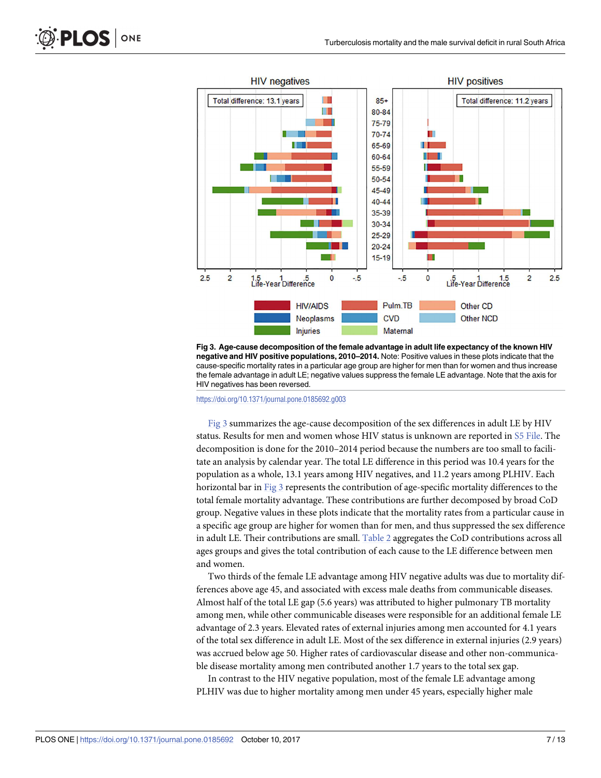<span id="page-6-0"></span>

**Fig 3. Age-cause decomposition of the female advantage in adult life expectancy of the known HIV negative and HIV positive populations, 2010–2014.** Note: Positive values in these plots indicate that the cause-specific mortality rates in a particular age group are higher for men than for women and thus increase the female advantage in adult LE; negative values suppress the female LE advantage. Note that the axis for HIV negatives has been reversed.

<https://doi.org/10.1371/journal.pone.0185692.g003>

Fig 3 summarizes the age-cause decomposition of the sex differences in adult LE by HIV status. Results for men and women whose HIV status is unknown are reported in S5 [File.](#page-9-0) The decomposition is done for the 2010–2014 period because the numbers are too small to facilitate an analysis by calendar year. The total LE difference in this period was 10.4 years for the population as a whole, 13.1 years among HIV negatives, and 11.2 years among PLHIV. Each horizontal bar in Fig 3 represents the contribution of age-specific mortality differences to the total female mortality advantage. These contributions are further decomposed by broad CoD group. Negative values in these plots indicate that the mortality rates from a particular cause in a specific age group are higher for women than for men, and thus suppressed the sex difference in adult LE. Their contributions are small. [Table](#page-7-0) 2 aggregates the CoD contributions across all ages groups and gives the total contribution of each cause to the LE difference between men and women.

Two thirds of the female LE advantage among HIV negative adults was due to mortality differences above age 45, and associated with excess male deaths from communicable diseases. Almost half of the total LE gap (5.6 years) was attributed to higher pulmonary TB mortality among men, while other communicable diseases were responsible for an additional female LE advantage of 2.3 years. Elevated rates of external injuries among men accounted for 4.1 years of the total sex difference in adult LE. Most of the sex difference in external injuries (2.9 years) was accrued below age 50. Higher rates of cardiovascular disease and other non-communicable disease mortality among men contributed another 1.7 years to the total sex gap.

In contrast to the HIV negative population, most of the female LE advantage among PLHIV was due to higher mortality among men under 45 years, especially higher male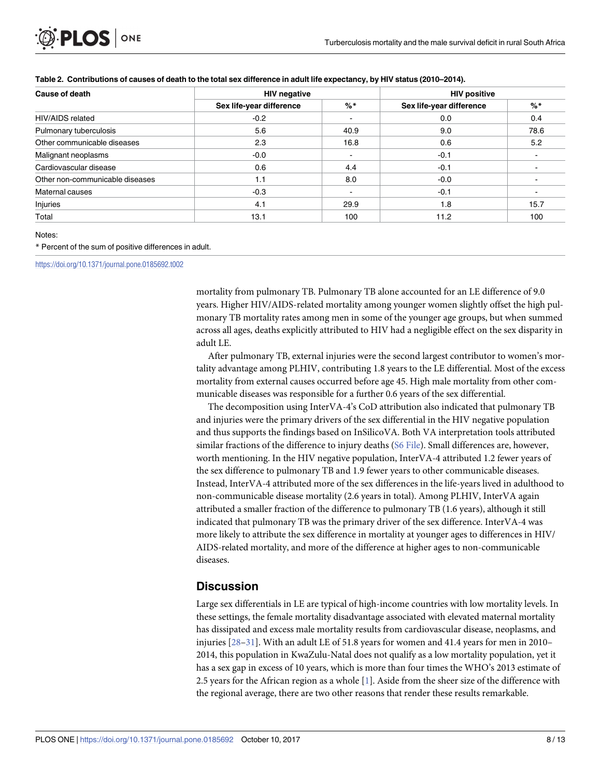| <b>Cause of death</b>           | <b>HIV negative</b>      |                          | <b>HIV positive</b>      |       |
|---------------------------------|--------------------------|--------------------------|--------------------------|-------|
|                                 | Sex life-year difference | $%$ *                    | Sex life-year difference | $%$ * |
| HIV/AIDS related                | $-0.2$                   |                          | 0.0                      | 0.4   |
| Pulmonary tuberculosis          | 5.6                      | 40.9                     | 9.0                      | 78.6  |
| Other communicable diseases     | 2.3                      | 16.8                     | 0.6                      | 5.2   |
| Malignant neoplasms             | $-0.0$                   | $\blacksquare$           | $-0.1$                   |       |
| Cardiovascular disease          | 0.6                      | 4.4                      | $-0.1$                   |       |
| Other non-communicable diseases | 1.1                      | 8.0                      | $-0.0$                   |       |
| Maternal causes                 | $-0.3$                   | $\overline{\phantom{a}}$ | $-0.1$                   |       |
| Injuries                        | 4.1                      | 29.9                     | 1.8                      | 15.7  |
| Total                           | 13.1                     | 100                      | 11.2                     | 100   |

#### [Table](#page-6-0) 2. Contributions of causes of death to the total sex difference in adult life expectancy, by HIV status (2010-2014).

#### Notes:

\* Percent of the sum of positive differences in adult.

<https://doi.org/10.1371/journal.pone.0185692.t002>

<span id="page-7-0"></span>PLOS I

ONE

mortality from pulmonary TB. Pulmonary TB alone accounted for an LE difference of 9.0 years. Higher HIV/AIDS-related mortality among younger women slightly offset the high pulmonary TB mortality rates among men in some of the younger age groups, but when summed across all ages, deaths explicitly attributed to HIV had a negligible effect on the sex disparity in adult LE.

After pulmonary TB, external injuries were the second largest contributor to women's mortality advantage among PLHIV, contributing 1.8 years to the LE differential. Most of the excess mortality from external causes occurred before age 45. High male mortality from other communicable diseases was responsible for a further 0.6 years of the sex differential.

The decomposition using InterVA-4's CoD attribution also indicated that pulmonary TB and injuries were the primary drivers of the sex differential in the HIV negative population and thus supports the findings based on InSilicoVA. Both VA interpretation tools attributed similar fractions of the difference to injury deaths (S6 [File](#page-9-0)). Small differences are, however, worth mentioning. In the HIV negative population, InterVA-4 attributed 1.2 fewer years of the sex difference to pulmonary TB and 1.9 fewer years to other communicable diseases. Instead, InterVA-4 attributed more of the sex differences in the life-years lived in adulthood to non-communicable disease mortality (2.6 years in total). Among PLHIV, InterVA again attributed a smaller fraction of the difference to pulmonary TB (1.6 years), although it still indicated that pulmonary TB was the primary driver of the sex difference. InterVA-4 was more likely to attribute the sex difference in mortality at younger ages to differences in HIV/ AIDS-related mortality, and more of the difference at higher ages to non-communicable diseases.

#### **Discussion**

Large sex differentials in LE are typical of high-income countries with low mortality levels. In these settings, the female mortality disadvantage associated with elevated maternal mortality has dissipated and excess male mortality results from cardiovascular disease, neoplasms, and injuries [[28](#page-11-0)–[31\]](#page-11-0). With an adult LE of 51.8 years for women and 41.4 years for men in 2010– 2014, this population in KwaZulu-Natal does not qualify as a low mortality population, yet it has a sex gap in excess of 10 years, which is more than four times the WHO's 2013 estimate of 2.5 years for the African region as a whole [[1](#page-10-0)]. Aside from the sheer size of the difference with the regional average, there are two other reasons that render these results remarkable.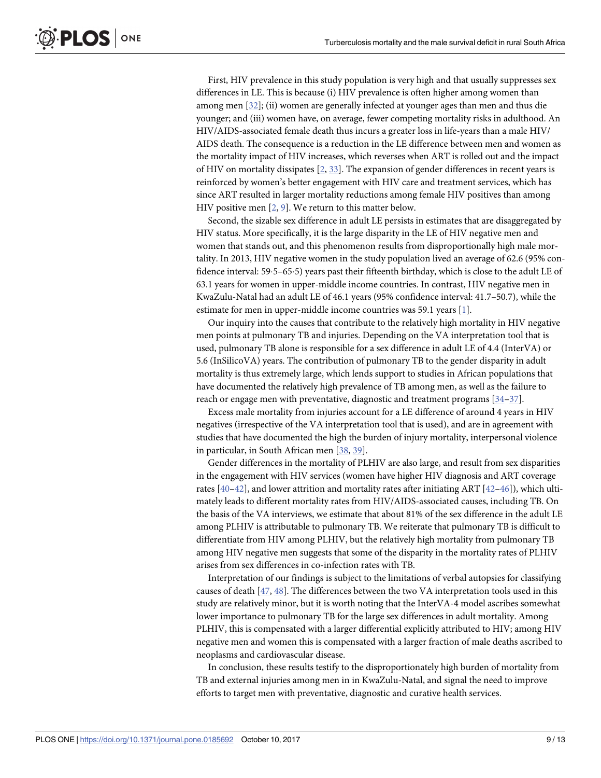<span id="page-8-0"></span>PLOS ONE

First, HIV prevalence in this study population is very high and that usually suppresses sex differences in LE. This is because (i) HIV prevalence is often higher among women than among men [\[32\]](#page-11-0); (ii) women are generally infected at younger ages than men and thus die younger; and (iii) women have, on average, fewer competing mortality risks in adulthood. An HIV/AIDS-associated female death thus incurs a greater loss in life-years than a male HIV/ AIDS death. The consequence is a reduction in the LE difference between men and women as the mortality impact of HIV increases, which reverses when ART is rolled out and the impact of HIV on mortality dissipates [\[2,](#page-10-0) [33\]](#page-11-0). The expansion of gender differences in recent years is reinforced by women's better engagement with HIV care and treatment services, which has since ART resulted in larger mortality reductions among female HIV positives than among HIV positive men [[2,](#page-10-0) [9\]](#page-10-0). We return to this matter below.

Second, the sizable sex difference in adult LE persists in estimates that are disaggregated by HIV status. More specifically, it is the large disparity in the LE of HIV negative men and women that stands out, and this phenomenon results from disproportionally high male mortality. In 2013, HIV negative women in the study population lived an average of 62.6 (95% confidence interval: 595–655) years past their fifteenth birthday, which is close to the adult LE of 63.1 years for women in upper-middle income countries. In contrast, HIV negative men in KwaZulu-Natal had an adult LE of 46.1 years (95% confidence interval: 41.7–50.7), while the estimate for men in upper-middle income countries was 59.1 years [\[1](#page-10-0)].

Our inquiry into the causes that contribute to the relatively high mortality in HIV negative men points at pulmonary TB and injuries. Depending on the VA interpretation tool that is used, pulmonary TB alone is responsible for a sex difference in adult LE of 4.4 (InterVA) or 5.6 (InSilicoVA) years. The contribution of pulmonary TB to the gender disparity in adult mortality is thus extremely large, which lends support to studies in African populations that have documented the relatively high prevalence of TB among men, as well as the failure to reach or engage men with preventative, diagnostic and treatment programs [\[34–37\]](#page-11-0).

Excess male mortality from injuries account for a LE difference of around 4 years in HIV negatives (irrespective of the VA interpretation tool that is used), and are in agreement with studies that have documented the high the burden of injury mortality, interpersonal violence in particular, in South African men [[38](#page-11-0), [39\]](#page-11-0).

Gender differences in the mortality of PLHIV are also large, and result from sex disparities in the engagement with HIV services (women have higher HIV diagnosis and ART coverage rates [[40–42\]](#page-11-0), and lower attrition and mortality rates after initiating ART [[42](#page-11-0)–[46](#page-12-0)]), which ultimately leads to different mortality rates from HIV/AIDS-associated causes, including TB. On the basis of the VA interviews, we estimate that about 81% of the sex difference in the adult LE among PLHIV is attributable to pulmonary TB. We reiterate that pulmonary TB is difficult to differentiate from HIV among PLHIV, but the relatively high mortality from pulmonary TB among HIV negative men suggests that some of the disparity in the mortality rates of PLHIV arises from sex differences in co-infection rates with TB.

Interpretation of our findings is subject to the limitations of verbal autopsies for classifying causes of death [\[47,](#page-12-0) [48\]](#page-12-0). The differences between the two VA interpretation tools used in this study are relatively minor, but it is worth noting that the InterVA-4 model ascribes somewhat lower importance to pulmonary TB for the large sex differences in adult mortality. Among PLHIV, this is compensated with a larger differential explicitly attributed to HIV; among HIV negative men and women this is compensated with a larger fraction of male deaths ascribed to neoplasms and cardiovascular disease.

In conclusion, these results testify to the disproportionately high burden of mortality from TB and external injuries among men in in KwaZulu-Natal, and signal the need to improve efforts to target men with preventative, diagnostic and curative health services.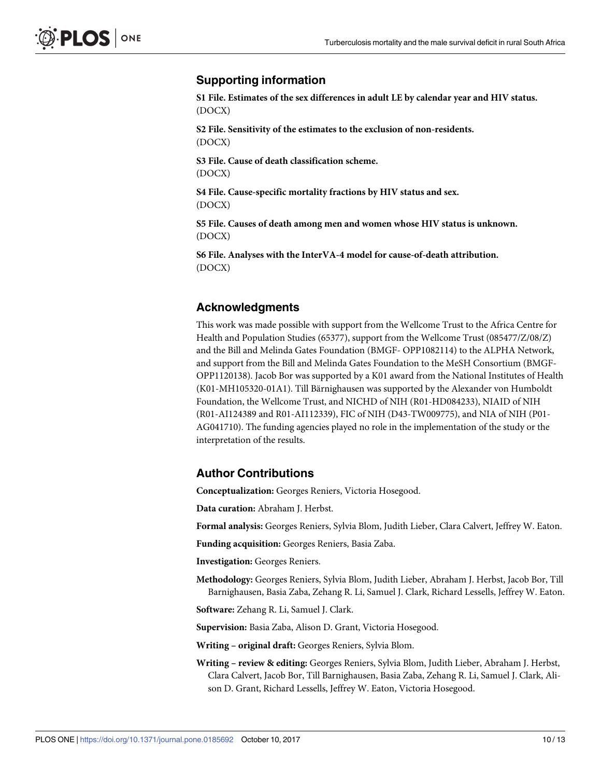### <span id="page-9-0"></span>**Supporting information**

**S1 [File.](http://www.plosone.org/article/fetchSingleRepresentation.action?uri=info:doi/10.1371/journal.pone.0185692.s001) Estimates of the sex differences in adult LE by calendar year and HIV status.** (DOCX)

**S2 [File.](http://www.plosone.org/article/fetchSingleRepresentation.action?uri=info:doi/10.1371/journal.pone.0185692.s002) Sensitivity of the estimates to the exclusion of non-residents.** (DOCX)

**S3 [File.](http://www.plosone.org/article/fetchSingleRepresentation.action?uri=info:doi/10.1371/journal.pone.0185692.s003) Cause of death classification scheme.** (DOCX)

**S4 [File.](http://www.plosone.org/article/fetchSingleRepresentation.action?uri=info:doi/10.1371/journal.pone.0185692.s004) Cause-specific mortality fractions by HIV status and sex.** (DOCX)

**S5 [File.](http://www.plosone.org/article/fetchSingleRepresentation.action?uri=info:doi/10.1371/journal.pone.0185692.s005) Causes of death among men and women whose HIV status is unknown.** (DOCX)

**S6 [File.](http://www.plosone.org/article/fetchSingleRepresentation.action?uri=info:doi/10.1371/journal.pone.0185692.s006) Analyses with the InterVA-4 model for cause-of-death attribution.** (DOCX)

### **Acknowledgments**

This work was made possible with support from the Wellcome Trust to the Africa Centre for Health and Population Studies (65377), support from the Wellcome Trust (085477/Z/08/Z) and the Bill and Melinda Gates Foundation (BMGF- OPP1082114) to the ALPHA Network, and support from the Bill and Melinda Gates Foundation to the MeSH Consortium (BMGF-OPP1120138). Jacob Bor was supported by a K01 award from the National Institutes of Health (K01-MH105320-01A1). Till Bärnighausen was supported by the Alexander von Humboldt Foundation, the Wellcome Trust, and NICHD of NIH (R01-HD084233), NIAID of NIH (R01-AI124389 and R01-AI112339), FIC of NIH (D43-TW009775), and NIA of NIH (P01- AG041710). The funding agencies played no role in the implementation of the study or the interpretation of the results.

### **Author Contributions**

**Conceptualization:** Georges Reniers, Victoria Hosegood.

**Data curation:** Abraham J. Herbst.

**Formal analysis:** Georges Reniers, Sylvia Blom, Judith Lieber, Clara Calvert, Jeffrey W. Eaton.

**Funding acquisition:** Georges Reniers, Basia Zaba.

**Investigation:** Georges Reniers.

**Methodology:** Georges Reniers, Sylvia Blom, Judith Lieber, Abraham J. Herbst, Jacob Bor, Till Barnighausen, Basia Zaba, Zehang R. Li, Samuel J. Clark, Richard Lessells, Jeffrey W. Eaton.

**Software:** Zehang R. Li, Samuel J. Clark.

**Supervision:** Basia Zaba, Alison D. Grant, Victoria Hosegood.

**Writing – original draft:** Georges Reniers, Sylvia Blom.

**Writing – review & editing:** Georges Reniers, Sylvia Blom, Judith Lieber, Abraham J. Herbst, Clara Calvert, Jacob Bor, Till Barnighausen, Basia Zaba, Zehang R. Li, Samuel J. Clark, Alison D. Grant, Richard Lessells, Jeffrey W. Eaton, Victoria Hosegood.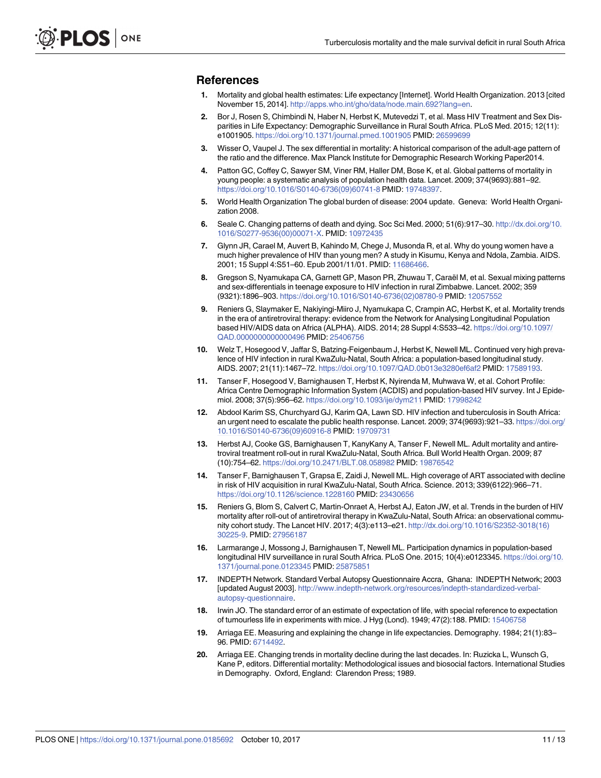#### <span id="page-10-0"></span>**References**

- **[1](#page-1-0).** Mortality and global health estimates: Life expectancy [Internet]. World Health Organization. 2013 [cited November 15, 2014]. <http://apps.who.int/gho/data/node.main.692?lang=en>.
- **[2](#page-1-0).** Bor J, Rosen S, Chimbindi N, Haber N, Herbst K, Mutevedzi T, et al. Mass HIV Treatment and Sex Disparities in Life Expectancy: Demographic Surveillance in Rural South Africa. PLoS Med. 2015; 12(11): e1001905. <https://doi.org/10.1371/journal.pmed.1001905> PMID: [26599699](http://www.ncbi.nlm.nih.gov/pubmed/26599699)
- **[3](#page-1-0).** Wisser O, Vaupel J. The sex differential in mortality: A historical comparison of the adult-age pattern of the ratio and the difference. Max Planck Institute for Demographic Research Working Paper2014.
- **4.** Patton GC, Coffey C, Sawyer SM, Viner RM, Haller DM, Bose K, et al. Global patterns of mortality in young people: a systematic analysis of population health data. Lancet. 2009; 374(9693):881–92. [https://doi.org/10.1016/S0140-6736\(09\)60741-8](https://doi.org/10.1016/S0140-6736(09)60741-8) PMID: [19748397](http://www.ncbi.nlm.nih.gov/pubmed/19748397).
- **5.** World Health Organization The global burden of disease: 2004 update. Geneva: World Health Organization 2008.
- **[6](#page-1-0).** Seale C. Changing patterns of death and dying. Soc Sci Med. 2000; 51(6):917–30. [http://dx.doi.org/10.](http://dx.doi.org/10.1016/S0277-9536(00)00071-X) [1016/S0277-9536\(00\)00071-X.](http://dx.doi.org/10.1016/S0277-9536(00)00071-X) PMID: [10972435](http://www.ncbi.nlm.nih.gov/pubmed/10972435)
- **[7](#page-1-0).** Glynn JR, Carael M, Auvert B, Kahindo M, Chege J, Musonda R, et al. Why do young women have a much higher prevalence of HIV than young men? A study in Kisumu, Kenya and Ndola, Zambia. AIDS. 2001; 15 Suppl 4:S51–60. Epub 2001/11/01. PMID: [11686466.](http://www.ncbi.nlm.nih.gov/pubmed/11686466)
- **[8](#page-1-0).** Gregson S, Nyamukapa CA, Garnett GP, Mason PR, Zhuwau T, Caraël M, et al. Sexual mixing patterns and sex-differentials in teenage exposure to HIV infection in rural Zimbabwe. Lancet. 2002; 359 (9321):1896–903. [https://doi.org/10.1016/S0140-6736\(02\)08780-9](https://doi.org/10.1016/S0140-6736(02)08780-9) PMID: [12057552](http://www.ncbi.nlm.nih.gov/pubmed/12057552)
- **[9](#page-1-0).** Reniers G, Slaymaker E, Nakiyingi-Miiro J, Nyamukapa C, Crampin AC, Herbst K, et al. Mortality trends in the era of antiretroviral therapy: evidence from the Network for Analysing Longitudinal Population based HIV/AIDS data on Africa (ALPHA). AIDS. 2014; 28 Suppl 4:S533–42. [https://doi.org/10.1097/](https://doi.org/10.1097/QAD.0000000000000496) [QAD.0000000000000496](https://doi.org/10.1097/QAD.0000000000000496) PMID: [25406756](http://www.ncbi.nlm.nih.gov/pubmed/25406756)
- **[10](#page-2-0).** Welz T, Hosegood V, Jaffar S, Batzing-Feigenbaum J, Herbst K, Newell ML. Continued very high prevalence of HIV infection in rural KwaZulu-Natal, South Africa: a population-based longitudinal study. AIDS. 2007; 21(11):1467–72. <https://doi.org/10.1097/QAD.0b013e3280ef6af2> PMID: [17589193](http://www.ncbi.nlm.nih.gov/pubmed/17589193).
- **[11](#page-2-0).** Tanser F, Hosegood V, Barnighausen T, Herbst K, Nyirenda M, Muhwava W, et al. Cohort Profile: Africa Centre Demographic Information System (ACDIS) and population-based HIV survey. Int J Epidemiol. 2008; 37(5):956–62. <https://doi.org/10.1093/ije/dym211> PMID: [17998242](http://www.ncbi.nlm.nih.gov/pubmed/17998242)
- **[12](#page-2-0).** Abdool Karim SS, Churchyard GJ, Karim QA, Lawn SD. HIV infection and tuberculosis in South Africa: an urgent need to escalate the public health response. Lancet. 2009; 374(9693):921–33. [https://doi.org/](https://doi.org/10.1016/S0140-6736(09)60916-8) [10.1016/S0140-6736\(09\)60916-8](https://doi.org/10.1016/S0140-6736(09)60916-8) PMID: [19709731](http://www.ncbi.nlm.nih.gov/pubmed/19709731)
- **[13](#page-2-0).** Herbst AJ, Cooke GS, Barnighausen T, KanyKany A, Tanser F, Newell ML. Adult mortality and antiretroviral treatment roll-out in rural KwaZulu-Natal, South Africa. Bull World Health Organ. 2009; 87 (10):754–62. <https://doi.org/10.2471/BLT.08.058982> PMID: [19876542](http://www.ncbi.nlm.nih.gov/pubmed/19876542)
- **[14](#page-2-0).** Tanser F, Barnighausen T, Grapsa E, Zaidi J, Newell ML. High coverage of ART associated with decline in risk of HIV acquisition in rural KwaZulu-Natal, South Africa. Science. 2013; 339(6122):966–71. <https://doi.org/10.1126/science.1228160> PMID: [23430656](http://www.ncbi.nlm.nih.gov/pubmed/23430656)
- **[15](#page-3-0).** Reniers G, Blom S, Calvert C, Martin-Onraet A, Herbst AJ, Eaton JW, et al. Trends in the burden of HIV mortality after roll-out of antiretroviral therapy in KwaZulu-Natal, South Africa: an observational community cohort study. The Lancet HIV. 2017; 4(3):e113–e21. [http://dx.doi.org/10.1016/S2352-3018\(16\)](http://dx.doi.org/10.1016/S2352-3018(16)30225-9) [30225-9](http://dx.doi.org/10.1016/S2352-3018(16)30225-9). PMID: [27956187](http://www.ncbi.nlm.nih.gov/pubmed/27956187)
- **[16](#page-3-0).** Larmarange J, Mossong J, Barnighausen T, Newell ML. Participation dynamics in population-based longitudinal HIV surveillance in rural South Africa. PLoS One. 2015; 10(4):e0123345. [https://doi.org/10.](https://doi.org/10.1371/journal.pone.0123345) [1371/journal.pone.0123345](https://doi.org/10.1371/journal.pone.0123345) PMID: [25875851](http://www.ncbi.nlm.nih.gov/pubmed/25875851)
- **[17](#page-3-0).** INDEPTH Network. Standard Verbal Autopsy Questionnaire Accra, Ghana: INDEPTH Network; 2003 [updated August 2003]. [http://www.indepth-network.org/resources/indepth-standardized-verbal](http://www.indepth-network.org/resources/indepth-standardized-verbal-autopsy-questionnaire)[autopsy-questionnaire.](http://www.indepth-network.org/resources/indepth-standardized-verbal-autopsy-questionnaire)
- **[18](#page-3-0).** Irwin JO. The standard error of an estimate of expectation of life, with special reference to expectation of tumourless life in experiments with mice. J Hyg (Lond). 1949; 47(2):188. PMID: [15406758](http://www.ncbi.nlm.nih.gov/pubmed/15406758)
- **[19](#page-3-0).** Arriaga EE. Measuring and explaining the change in life expectancies. Demography. 1984; 21(1):83– 96. PMID: [6714492](http://www.ncbi.nlm.nih.gov/pubmed/6714492).
- **[20](#page-3-0).** Arriaga EE. Changing trends in mortality decline during the last decades. In: Ruzicka L, Wunsch G, Kane P, editors. Differential mortality: Methodological issues and biosocial factors. International Studies in Demography. Oxford, England: Clarendon Press; 1989.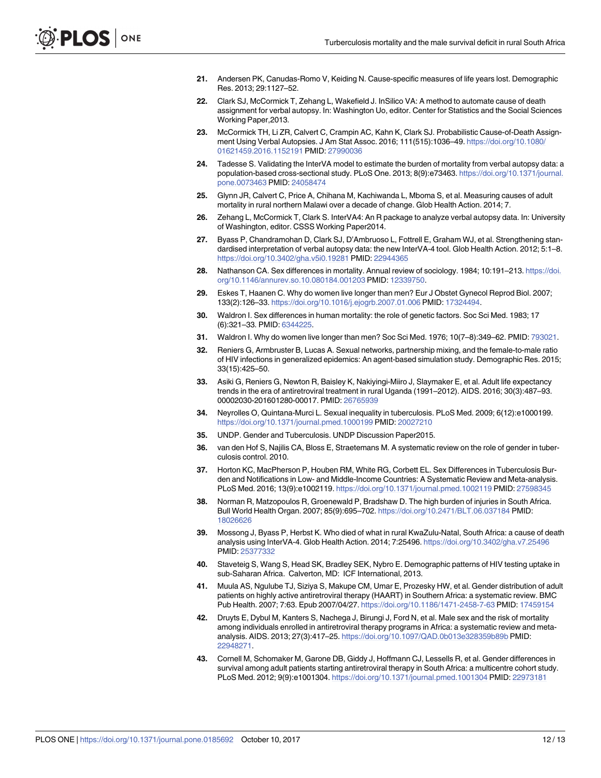- <span id="page-11-0"></span>**[21](#page-4-0).** Andersen PK, Canudas-Romo V, Keiding N. Cause-specific measures of life years lost. Demographic Res. 2013; 29:1127–52.
- **[22](#page-4-0).** Clark SJ, McCormick T, Zehang L, Wakefield J. InSilico VA: A method to automate cause of death assignment for verbal autopsy. In: Washington Uo, editor. Center for Statistics and the Social Sciences Working Paper,2013.
- **[23](#page-4-0).** McCormick TH, Li ZR, Calvert C, Crampin AC, Kahn K, Clark SJ. Probabilistic Cause-of-Death Assignment Using Verbal Autopsies. J Am Stat Assoc. 2016; 111(515):1036–49. [https://doi.org/10.1080/](https://doi.org/10.1080/01621459.2016.1152191) [01621459.2016.1152191](https://doi.org/10.1080/01621459.2016.1152191) PMID: [27990036](http://www.ncbi.nlm.nih.gov/pubmed/27990036)
- **[24](#page-4-0).** Tadesse S. Validating the InterVA model to estimate the burden of mortality from verbal autopsy data: a population-based cross-sectional study. PLoS One. 2013; 8(9):e73463. [https://doi.org/10.1371/journal.](https://doi.org/10.1371/journal.pone.0073463) [pone.0073463](https://doi.org/10.1371/journal.pone.0073463) PMID: [24058474](http://www.ncbi.nlm.nih.gov/pubmed/24058474)
- **[25](#page-4-0).** Glynn JR, Calvert C, Price A, Chihana M, Kachiwanda L, Mboma S, et al. Measuring causes of adult mortality in rural northern Malawi over a decade of change. Glob Health Action. 2014; 7.
- **[26](#page-4-0).** Zehang L, McCormick T, Clark S. InterVA4: An R package to analyze verbal autopsy data. In: University of Washington, editor. CSSS Working Paper2014.
- **[27](#page-4-0).** Byass P, Chandramohan D, Clark SJ, D'Ambruoso L, Fottrell E, Graham WJ, et al. Strengthening standardised interpretation of verbal autopsy data: the new InterVA-4 tool. Glob Health Action. 2012; 5:1–8. <https://doi.org/10.3402/gha.v5i0.19281> PMID: [22944365](http://www.ncbi.nlm.nih.gov/pubmed/22944365)
- **[28](#page-7-0).** Nathanson CA. Sex differences in mortality. Annual review of sociology. 1984; 10:191–213. [https://doi.](https://doi.org/10.1146/annurev.so.10.080184.001203) [org/10.1146/annurev.so.10.080184.001203](https://doi.org/10.1146/annurev.so.10.080184.001203) PMID: [12339750.](http://www.ncbi.nlm.nih.gov/pubmed/12339750)
- **29.** Eskes T, Haanen C. Why do women live longer than men? Eur J Obstet Gynecol Reprod Biol. 2007; 133(2):126–33. <https://doi.org/10.1016/j.ejogrb.2007.01.006> PMID: [17324494.](http://www.ncbi.nlm.nih.gov/pubmed/17324494)
- **30.** Waldron I. Sex differences in human mortality: the role of genetic factors. Soc Sci Med. 1983; 17 (6):321–33. PMID: [6344225.](http://www.ncbi.nlm.nih.gov/pubmed/6344225)
- **[31](#page-7-0).** Waldron I. Why do women live longer than men? Soc Sci Med. 1976; 10(7–8):349–62. PMID: [793021](http://www.ncbi.nlm.nih.gov/pubmed/793021).
- **[32](#page-8-0).** Reniers G, Armbruster B, Lucas A. Sexual networks, partnership mixing, and the female-to-male ratio of HIV infections in generalized epidemics: An agent-based simulation study. Demographic Res. 2015; 33(15):425–50.
- **[33](#page-8-0).** Asiki G, Reniers G, Newton R, Baisley K, Nakiyingi-Miiro J, Slaymaker E, et al. Adult life expectancy trends in the era of antiretroviral treatment in rural Uganda (1991–2012). AIDS. 2016; 30(3):487–93. 00002030-201601280-00017. PMID: [26765939](http://www.ncbi.nlm.nih.gov/pubmed/26765939)
- **[34](#page-8-0).** Neyrolles O, Quintana-Murci L. Sexual inequality in tuberculosis. PLoS Med. 2009; 6(12):e1000199. <https://doi.org/10.1371/journal.pmed.1000199> PMID: [20027210](http://www.ncbi.nlm.nih.gov/pubmed/20027210)
- **35.** UNDP. Gender and Tuberculosis. UNDP Discussion Paper2015.
- **36.** van den Hof S, Najilis CA, Bloss E, Straetemans M. A systematic review on the role of gender in tuberculosis control. 2010.
- **[37](#page-8-0).** Horton KC, MacPherson P, Houben RM, White RG, Corbett EL. Sex Differences in Tuberculosis Burden and Notifications in Low- and Middle-Income Countries: A Systematic Review and Meta-analysis. PLoS Med. 2016; 13(9):e1002119. <https://doi.org/10.1371/journal.pmed.1002119> PMID: [27598345](http://www.ncbi.nlm.nih.gov/pubmed/27598345)
- **[38](#page-8-0).** Norman R, Matzopoulos R, Groenewald P, Bradshaw D. The high burden of injuries in South Africa. Bull World Health Organ. 2007; 85(9):695–702. <https://doi.org/10.2471/BLT.06.037184> PMID: [18026626](http://www.ncbi.nlm.nih.gov/pubmed/18026626)
- **[39](#page-8-0).** Mossong J, Byass P, Herbst K. Who died of what in rural KwaZulu-Natal, South Africa: a cause of death analysis using InterVA-4. Glob Health Action. 2014; 7:25496. <https://doi.org/10.3402/gha.v7.25496> PMID: [25377332](http://www.ncbi.nlm.nih.gov/pubmed/25377332)
- **[40](#page-8-0).** Staveteig S, Wang S, Head SK, Bradley SEK, Nybro E. Demographic patterns of HIV testing uptake in sub-Saharan Africa. Calverton, MD: ICF International, 2013.
- **41.** Muula AS, Ngulube TJ, Siziya S, Makupe CM, Umar E, Prozesky HW, et al. Gender distribution of adult patients on highly active antiretroviral therapy (HAART) in Southern Africa: a systematic review. BMC Pub Health. 2007; 7:63. Epub 2007/04/27. <https://doi.org/10.1186/1471-2458-7-63> PMID: [17459154](http://www.ncbi.nlm.nih.gov/pubmed/17459154)
- **[42](#page-8-0).** Druyts E, Dybul M, Kanters S, Nachega J, Birungi J, Ford N, et al. Male sex and the risk of mortality among individuals enrolled in antiretroviral therapy programs in Africa: a systematic review and metaanalysis. AIDS. 2013; 27(3):417–25. <https://doi.org/10.1097/QAD.0b013e328359b89b> PMID: [22948271](http://www.ncbi.nlm.nih.gov/pubmed/22948271).
- **43.** Cornell M, Schomaker M, Garone DB, Giddy J, Hoffmann CJ, Lessells R, et al. Gender differences in survival among adult patients starting antiretroviral therapy in South Africa: a multicentre cohort study. PLoS Med. 2012; 9(9):e1001304. <https://doi.org/10.1371/journal.pmed.1001304> PMID: [22973181](http://www.ncbi.nlm.nih.gov/pubmed/22973181)